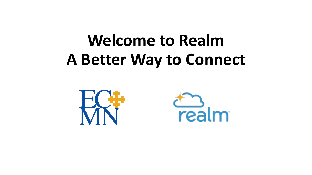# **Welcome to Realm A Better Way to Connect**



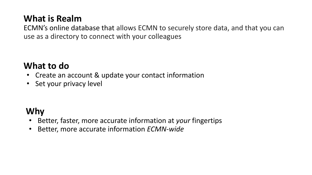### **What is Realm**

ECMN's online database that allows ECMN to securely store data, and that you can use as a directory to connect with your colleagues

### **What to do**

- Create an account & update your contact information
- Set your privacy level

## **Why**

- Better, faster, more accurate information at *your* fingertips
- Better, more accurate information *ECMN-wide*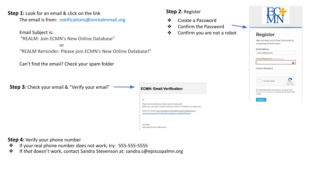#### **Step 1:** Look for an email & click on the link

The email is from: [notifications@onrealmmail.org](mailto:nofifications@onrealmmail.org)

Email Subject is:

"REALM: Join ECMN's New Online Database"

**or** service the service of  $\overline{a}$ "REALM Reminder: Please join ECMN's New Online Database!"

Can't find the email? Check your spam folder

**Step 3:** Check your email & "Verify your email"



Thank you for joining our online church community! Before you can sign in, please verify your email to complete your registration.

Verify your email: https://onrealm.org/ECMN/account/Validate?user= stevensonconsulting2%40gmail.com&token=midEkIRSF0IvNv

Sincerely, Episcopal Church in Minnesota

**Step 4:** Verify your phone number

- ❖ If your real phone number does not work, try: 555-555-5555
- ❖ If *that* doesn't work, contact Sandra Stevenson at: sandra.s@episcopalmn.org

#### **Step 2:** Register

- ❖ Create a Password
- ❖ Confirm the Password
- ❖ Confirm you are not a robot



### **Register**

Sign-up is easy, and it's free! Get started by completing the fields below.



FakeEmail@gmail.com

Create Password (8 character min)





 $\Lambda$ 

By clicking the register button below, you agree to the Software Services Agreement and you are 13 years of age or older.

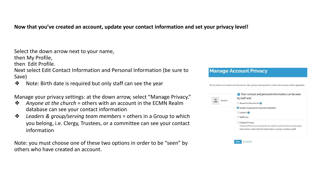#### **Now that you've created an account, update your contact information and set your privacy level!**

Select the down arrow next to your name, then My Profile, then Edit Profile. Next select Edit Contact Information and Personal Information (be sure to Save)

❖ Note: Birth date is required but only staff can see the year

Manage your privacy settings: at the down arrow, select "Manage Privacy."

- ❖ *Anyone at the church* = others with an account in the ECMN Realm database can see your contact information
- ❖ *Leaders & group/serving team members* = others in a Group to which you belong, i.e. Clergy, Trustees, or a committee can see your contact information

Note: you must choose one of these two options in order to be "seen" by others who have created an account.

#### **Manage Account Privacy** Tell us what's ok to share with the church. Also, group meeting hosts' contact info may be visible, regardless ← Your contact and personal information can be seen by staff and: Sandra  $\bigcirc$  Anyone in the church ◯ Leaders & group/serving team members  $O$  Leaders  $\bigcirc$ ○ Staff only ○ Custom Privacy Choose different privacy levels for specific contact fields and personal information. Note that this information is always visible to staff or Cancel